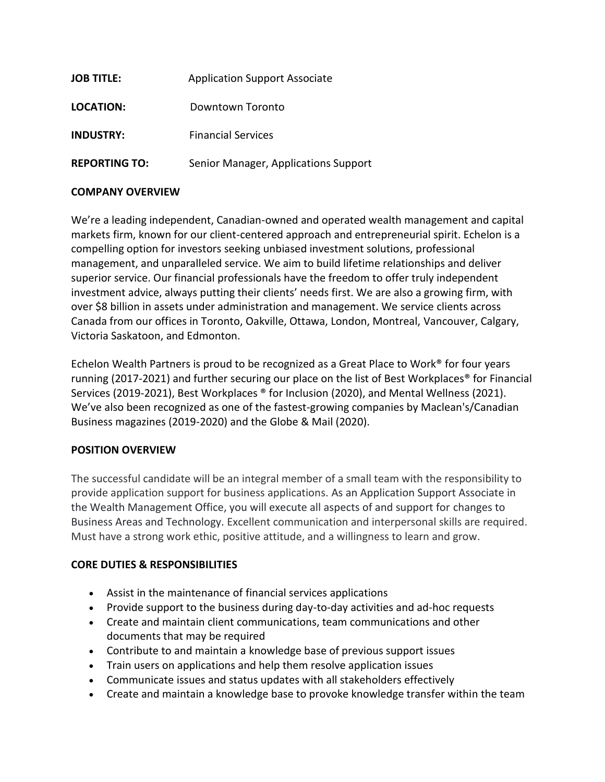| <b>JOB TITLE:</b>    | <b>Application Support Associate</b> |
|----------------------|--------------------------------------|
| <b>LOCATION:</b>     | Downtown Toronto                     |
| <b>INDUSTRY:</b>     | <b>Financial Services</b>            |
| <b>REPORTING TO:</b> | Senior Manager, Applications Support |

### **COMPANY OVERVIEW**

We're a leading independent, Canadian-owned and operated wealth management and capital markets firm, known for our client-centered approach and entrepreneurial spirit. Echelon is a compelling option for investors seeking unbiased investment solutions, professional management, and unparalleled service. We aim to build lifetime relationships and deliver superior service. Our financial professionals have the freedom to offer truly independent investment advice, always putting their clients' needs first. We are also a growing firm, with over \$8 billion in assets under administration and management. We service clients across Canada from our offices in Toronto, Oakville, Ottawa, London, Montreal, Vancouver, Calgary, Victoria Saskatoon, and Edmonton.

Echelon Wealth Partners is proud to be recognized as a Great Place to Work® for four years running (2017-2021) and further securing our place on the list of Best Workplaces® for Financial Services (2019-2021), Best Workplaces ® for Inclusion (2020), and Mental Wellness (2021). We've also been recognized as one of the fastest-growing companies by Maclean's/Canadian Business magazines (2019-2020) and the Globe & Mail (2020).

# **POSITION OVERVIEW**

The successful candidate will be an integral member of a small team with the responsibility to provide application support for business applications. As an Application Support Associate in the Wealth Management Office, you will execute all aspects of and support for changes to Business Areas and Technology. Excellent communication and interpersonal skills are required. Must have a strong work ethic, positive attitude, and a willingness to learn and grow.

#### **CORE DUTIES & RESPONSIBILITIES**

- Assist in the maintenance of financial services applications
- Provide support to the business during day-to-day activities and ad-hoc requests
- Create and maintain client communications, team communications and other documents that may be required
- Contribute to and maintain a knowledge base of previous support issues
- Train users on applications and help them resolve application issues
- Communicate issues and status updates with all stakeholders effectively
- Create and maintain a knowledge base to provoke knowledge transfer within the team